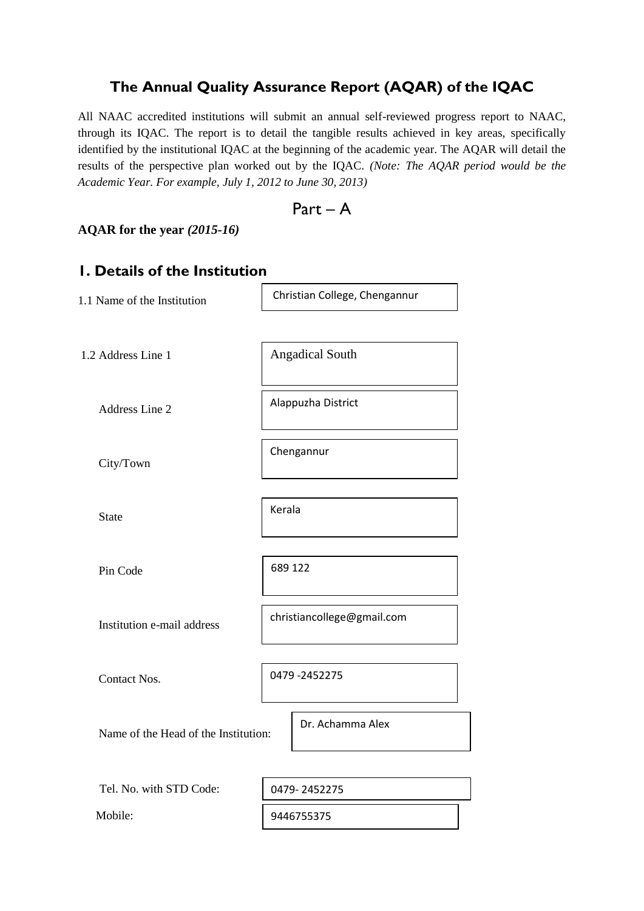# **The Annual Quality Assurance Report (AQAR) of the IQAC**

All NAAC accredited institutions will submit an annual self-reviewed progress report to NAAC, through its IQAC. The report is to detail the tangible results achieved in key areas, specifically identified by the institutional IQAC at the beginning of the academic year. The AQAR will detail the results of the perspective plan worked out by the IQAC. *(Note: The AQAR period would be the Academic Year. For example, July 1, 2012 to June 30, 2013)*

$$
\mathsf{Part} - \mathsf{A}
$$

**AQAR for the year** *(2015-16)*

| I. Details of the Institution        |                               |  |  |
|--------------------------------------|-------------------------------|--|--|
| 1.1 Name of the Institution          | Christian College, Chengannur |  |  |
|                                      |                               |  |  |
| 1.2 Address Line 1                   | <b>Angadical South</b>        |  |  |
|                                      |                               |  |  |
| Address Line 2                       | Alappuzha District            |  |  |
|                                      | Chengannur                    |  |  |
| City/Town                            |                               |  |  |
|                                      | Kerala                        |  |  |
| <b>State</b>                         |                               |  |  |
| Pin Code                             | 689 122                       |  |  |
|                                      |                               |  |  |
| Institution e-mail address           | christiancollege@gmail.com    |  |  |
|                                      |                               |  |  |
| Contact Nos.                         | 0479 - 2452275                |  |  |
|                                      |                               |  |  |
| Name of the Head of the Institution: | Dr. Achamma Alex              |  |  |
|                                      |                               |  |  |
| Tel. No. with STD Code:              | 0479-2452275                  |  |  |
| Mobile:                              | 9446755375                    |  |  |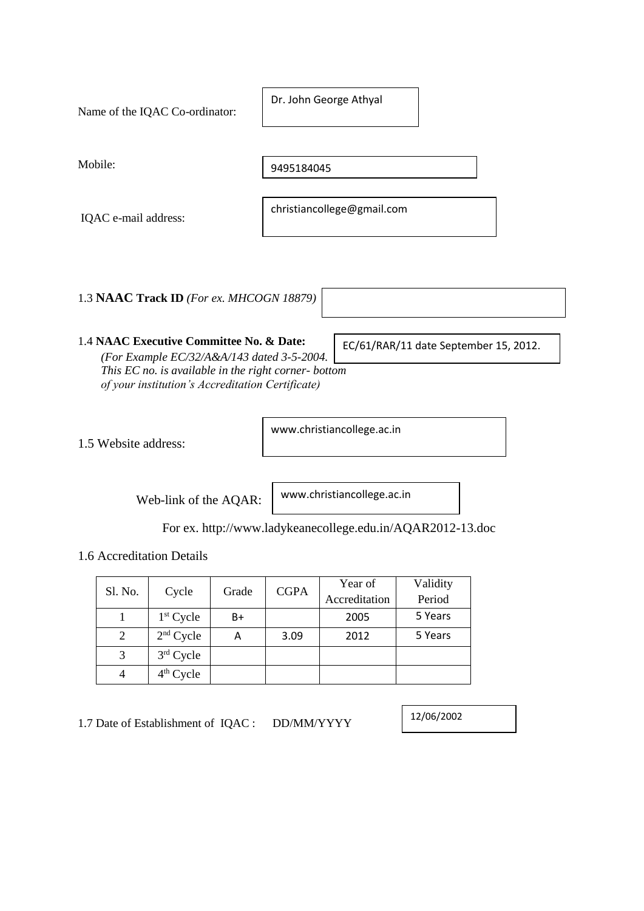| Name of the IQAC Co-ordinator:           | Dr. John George Athyal     |  |
|------------------------------------------|----------------------------|--|
| Mobile:                                  | 9495184045                 |  |
| IQAC e-mail address:                     | christiancollege@gmail.com |  |
|                                          |                            |  |
| 1.3 NAAC Track ID (For ex. MHCOGN 18879) |                            |  |

1.4 **NAAC Executive Committee No. & Date:** *(For Example EC/32/A&A/143 dated 3-5-2004. This EC no. is available in the right corner- bottom of your institution's Accreditation Certificate)* EC/61/RAR/11 date September 15, 2012.

1.5 Website address:

www.christiancollege.ac.in

Web-link of the AQAR:

www.christiancollege.ac.in

For ex. http://www.ladykeanecollege.edu.in/AQAR2012-13.doc

1.6 Accreditation Details

|         |             | Grade | <b>CGPA</b> | Year of       | Validity |
|---------|-------------|-------|-------------|---------------|----------|
| Sl. No. | Cycle       |       |             | Accreditation | Period   |
|         | $1st$ Cycle | $B+$  |             | 2005          | 5 Years  |
|         | $2nd$ Cycle | А     | 3.09        | 2012          | 5 Years  |
| 3       | $3rd$ Cycle |       |             |               |          |
|         | $4th$ Cycle |       |             |               |          |

1.7 Date of Establishment of IQAC : DD/MM/YYYY

12/06/2002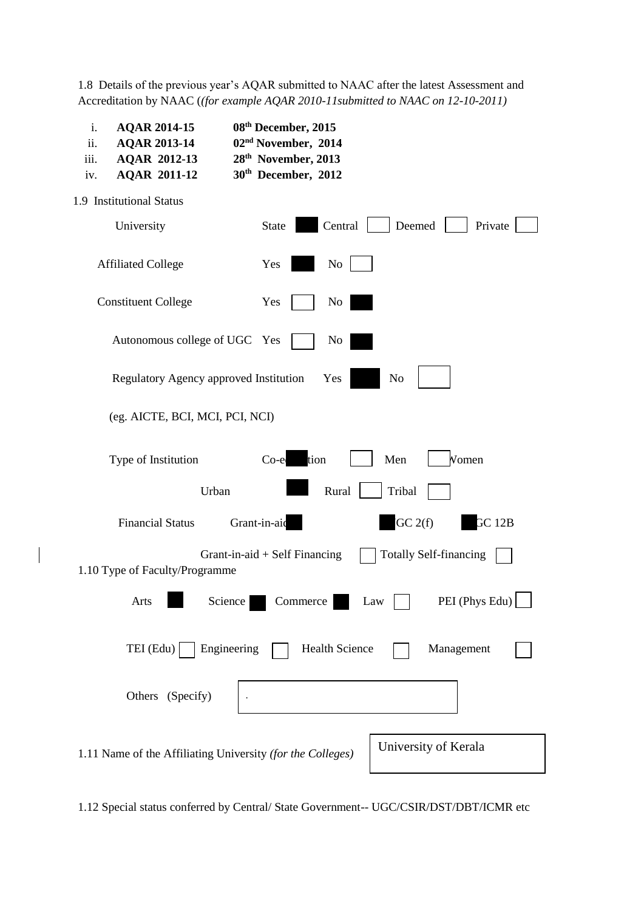1.8 Details of the previous year's AQAR submitted to NAAC after the latest Assessment and Accreditation by NAAC (*(for example AQAR 2010-11submitted to NAAC on 12-10-2011)*

| i.<br><b>AQAR 2014-15</b><br><b>AQAR 2013-14</b><br>ii.<br>iii.<br><b>AQAR 2012-13</b><br><b>AQAR 2011-12</b><br>iv. | 08 <sup>th</sup> December, 2015<br>02 <sup>nd</sup> November, 2014<br>28th November, 2013<br>30 <sup>th</sup> December, 2012 |                               |
|----------------------------------------------------------------------------------------------------------------------|------------------------------------------------------------------------------------------------------------------------------|-------------------------------|
| 1.9 Institutional Status                                                                                             |                                                                                                                              |                               |
| University                                                                                                           | Central<br><b>State</b>                                                                                                      | Deemed<br>Private             |
| <b>Affiliated College</b>                                                                                            | N <sub>0</sub><br>Yes                                                                                                        |                               |
| <b>Constituent College</b>                                                                                           | Yes<br>No                                                                                                                    |                               |
| Autonomous college of UGC Yes                                                                                        | No                                                                                                                           |                               |
| Regulatory Agency approved Institution                                                                               | Yes                                                                                                                          | N <sub>o</sub>                |
| (eg. AICTE, BCI, MCI, PCI, NCI)                                                                                      |                                                                                                                              |                               |
| Type of Institution                                                                                                  | tion<br>Co-e                                                                                                                 | Men<br>Vomen                  |
| Urban                                                                                                                | Rural                                                                                                                        | Tribal                        |
| <b>Financial Status</b>                                                                                              | Grant-in-aid                                                                                                                 | GC 2(f)<br>GC12B              |
| 1.10 Type of Faculty/Programme                                                                                       | Grant-in-aid $+$ Self Financing                                                                                              | <b>Totally Self-financing</b> |
| Arts                                                                                                                 | Commerce Law<br>Science                                                                                                      | PEI (Phys Edu)                |
| $TEI$ (Edu)                                                                                                          | Engineering<br><b>Health Science</b>                                                                                         | Management                    |
| Others (Specify)                                                                                                     |                                                                                                                              |                               |
| 1.11 Name of the Affiliating University (for the Colleges)                                                           |                                                                                                                              | University of Kerala          |

1.12 Special status conferred by Central/ State Government-- UGC/CSIR/DST/DBT/ICMR etc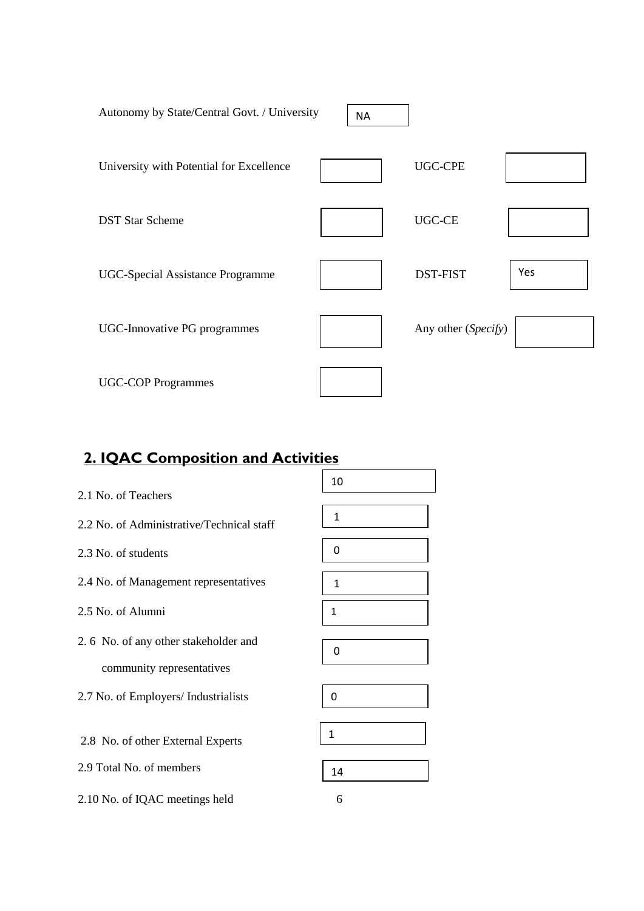| Autonomy by State/Central Govt. / University | <b>NA</b> |                     |     |
|----------------------------------------------|-----------|---------------------|-----|
| University with Potential for Excellence     |           | <b>UGC-CPE</b>      |     |
| <b>DST Star Scheme</b>                       |           | <b>UGC-CE</b>       |     |
| <b>UGC-Special Assistance Programme</b>      |           | <b>DST-FIST</b>     | Yes |
| UGC-Innovative PG programmes                 |           | Any other (Specify) |     |
| <b>UGC-COP Programmes</b>                    |           |                     |     |

# **2. IQAC Composition and Activities**

|                                           | 10           |
|-------------------------------------------|--------------|
| 2.1 No. of Teachers                       |              |
| 2.2 No. of Administrative/Technical staff | 1            |
| 2.3 No. of students                       | 0            |
| 2.4 No. of Management representatives     | 1            |
| 2.5 No. of Alumni                         | $\mathbf{1}$ |
| 2.6 No. of any other stakeholder and      | 0            |
| community representatives                 |              |
| 2.7 No. of Employers/ Industrialists      | 0            |
| 2.8 No. of other External Experts         | 1            |
| 2.9 Total No. of members                  | 14           |
| 2.10 No. of IQAC meetings held            | 6            |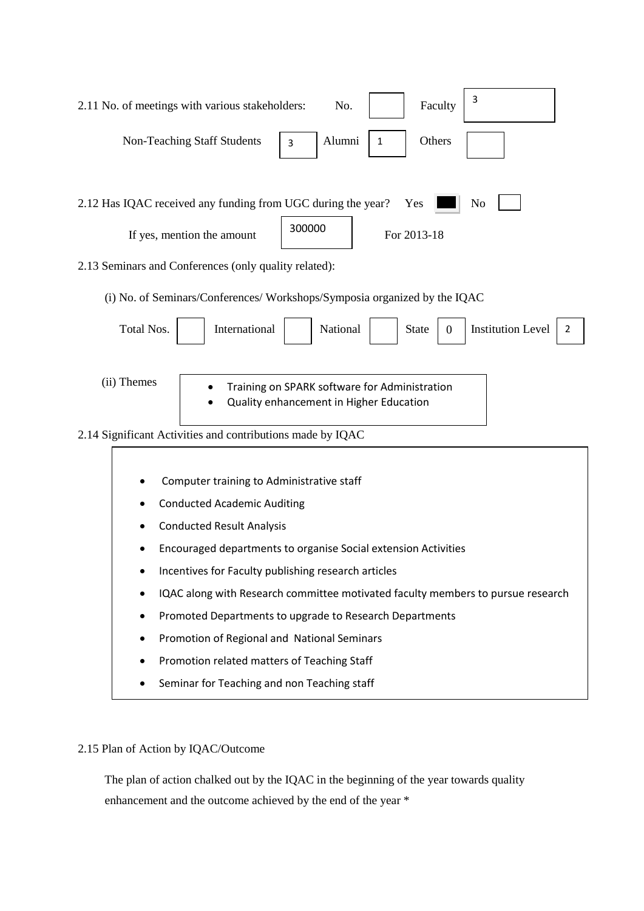| 3<br>2.11 No. of meetings with various stakeholders:<br>No.<br>Faculty                                                                                                                                                                                                                                                                                                                                                                                                                                                                  |  |  |  |
|-----------------------------------------------------------------------------------------------------------------------------------------------------------------------------------------------------------------------------------------------------------------------------------------------------------------------------------------------------------------------------------------------------------------------------------------------------------------------------------------------------------------------------------------|--|--|--|
| Alumni<br><b>Non-Teaching Staff Students</b><br>Others<br>1<br>3                                                                                                                                                                                                                                                                                                                                                                                                                                                                        |  |  |  |
| 2.12 Has IQAC received any funding from UGC during the year?<br>N <sub>o</sub><br>Yes<br>300000<br>For 2013-18<br>If yes, mention the amount                                                                                                                                                                                                                                                                                                                                                                                            |  |  |  |
| 2.13 Seminars and Conferences (only quality related):                                                                                                                                                                                                                                                                                                                                                                                                                                                                                   |  |  |  |
| (i) No. of Seminars/Conferences/ Workshops/Symposia organized by the IQAC                                                                                                                                                                                                                                                                                                                                                                                                                                                               |  |  |  |
| Total Nos.<br><b>Institution Level</b><br>International<br>National<br><b>State</b><br>$\mathbf{0}$<br>2                                                                                                                                                                                                                                                                                                                                                                                                                                |  |  |  |
| (ii) Themes<br>Training on SPARK software for Administration<br>Quality enhancement in Higher Education<br>2.14 Significant Activities and contributions made by IQAC                                                                                                                                                                                                                                                                                                                                                                   |  |  |  |
| Computer training to Administrative staff<br><b>Conducted Academic Auditing</b><br><b>Conducted Result Analysis</b><br>Encouraged departments to organise Social extension Activities<br>Incentives for Faculty publishing research articles<br>IQAC along with Research committee motivated faculty members to pursue research<br>Promoted Departments to upgrade to Research Departments<br>Promotion of Regional and National Seminars<br>Promotion related matters of Teaching Staff<br>Seminar for Teaching and non Teaching staff |  |  |  |

# 2.15 Plan of Action by IQAC/Outcome

 The plan of action chalked out by the IQAC in the beginning of the year towards quality enhancement and the outcome achieved by the end of the year \*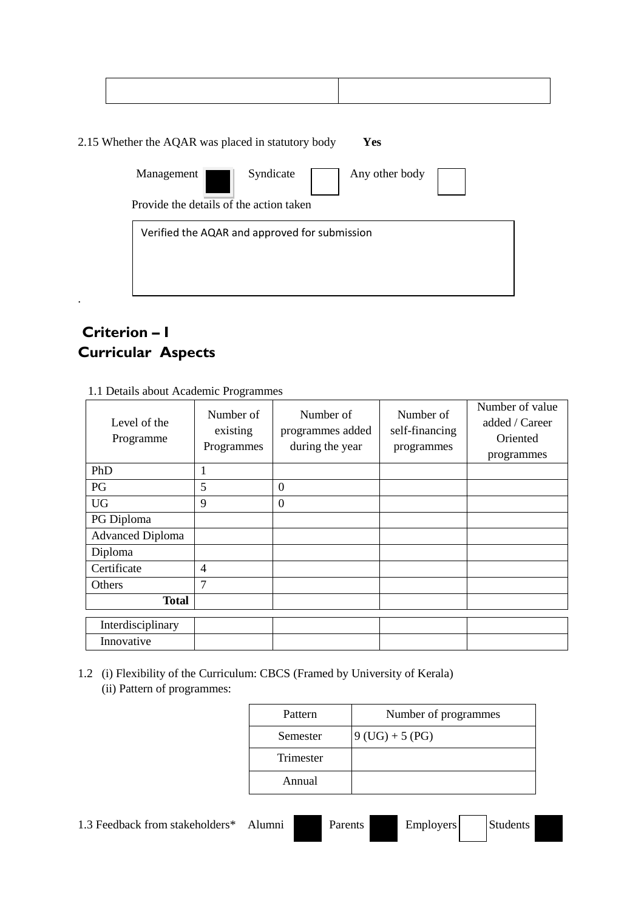# 2.15 Whether the AQAR was placed in statutory body **Yes**

| Management<br>Provide the details of the action taken | Syndicate                                     | Any other body |  |
|-------------------------------------------------------|-----------------------------------------------|----------------|--|
|                                                       | Verified the AQAR and approved for submission |                |  |
|                                                       |                                               |                |  |
|                                                       |                                               |                |  |

# **Criterion – I Curricular Aspects**

.

| Level of the<br>Programme | Number of<br>existing<br>Programmes | Number of<br>programmes added<br>during the year | Number of<br>self-financing<br>programmes | Number of value<br>added / Career<br>Oriented<br>programmes |
|---------------------------|-------------------------------------|--------------------------------------------------|-------------------------------------------|-------------------------------------------------------------|
| PhD                       | 1                                   |                                                  |                                           |                                                             |
| PG                        | 5                                   | $\boldsymbol{0}$                                 |                                           |                                                             |
| <b>UG</b>                 | 9                                   | $\Omega$                                         |                                           |                                                             |
| PG Diploma                |                                     |                                                  |                                           |                                                             |
| <b>Advanced Diploma</b>   |                                     |                                                  |                                           |                                                             |
| Diploma                   |                                     |                                                  |                                           |                                                             |
| Certificate               | $\overline{4}$                      |                                                  |                                           |                                                             |
| Others                    | 7                                   |                                                  |                                           |                                                             |
| <b>Total</b>              |                                     |                                                  |                                           |                                                             |
| Interdisciplinary         |                                     |                                                  |                                           |                                                             |
| Innovative                |                                     |                                                  |                                           |                                                             |

1.1 Details about Academic Programmes

1.2 (i) Flexibility of the Curriculum: CBCS (Framed by University of Kerala) (ii) Pattern of programmes:

| Pattern   | Number of programmes |
|-----------|----------------------|
| Semester  | $9 (UG) + 5 (PG)$    |
| Trimester |                      |
| Annual    |                      |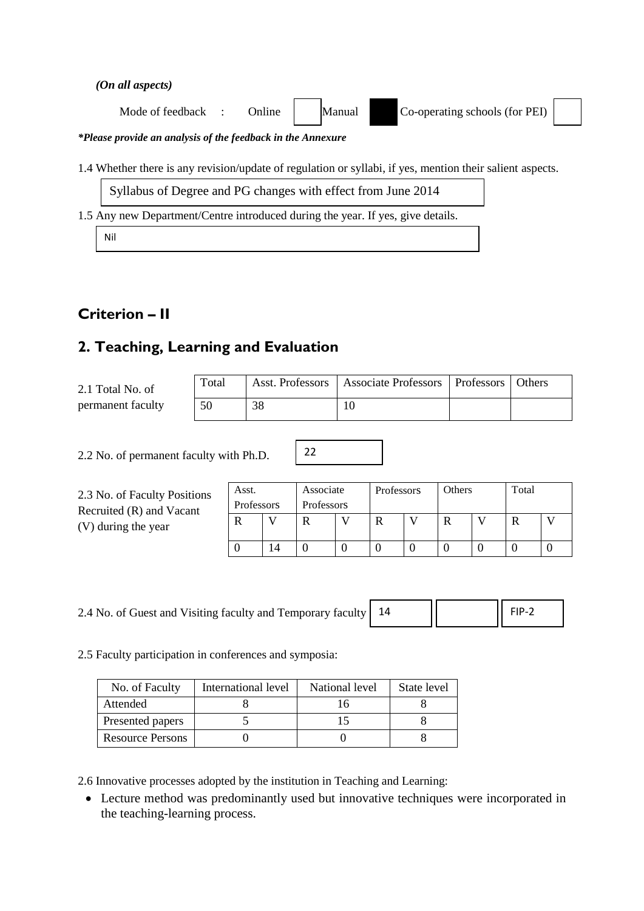*(On all aspects)*

Mode of feedback : Online Manual Co-operating schools (for PEI)

*\*Please provide an analysis of the feedback in the Annexure*

1.4 Whether there is any revision/update of regulation or syllabi, if yes, mention their salient aspects.

Syllabus of Degree and PG changes with effect from June 2014

1.5 Any new Department/Centre introduced during the year. If yes, give details.

Nil

# **Criterion – II**

# **2. Teaching, Learning and Evaluation**

| 2.1 Total No. of  | Total |    | Asst. Professors   Associate Professors   Professors   Others |  |
|-------------------|-------|----|---------------------------------------------------------------|--|
| permanent faculty | 50    | 38 | 10                                                            |  |

22

2.2 No. of permanent faculty with Ph.D.

2.3 No. of Faculty Positions Recruited (R) and Vacant (V) during the year

| Asst.      |   | Associate  | Professors | Others | Total |  |
|------------|---|------------|------------|--------|-------|--|
| Professors |   | Professors |            |        |       |  |
|            |   |            |            |        |       |  |
|            |   |            |            |        |       |  |
|            | Δ |            |            |        |       |  |

14

2.4 No. of Guest and Visiting faculty and Temporary faculty

FIP-2

2.5 Faculty participation in conferences and symposia:

| No. of Faculty          | International level | National level | State level |
|-------------------------|---------------------|----------------|-------------|
| Attended                |                     |                |             |
| Presented papers        |                     |                |             |
| <b>Resource Persons</b> |                     |                |             |

2.6 Innovative processes adopted by the institution in Teaching and Learning:

• Lecture method was predominantly used but innovative techniques were incorporated in the teaching-learning process.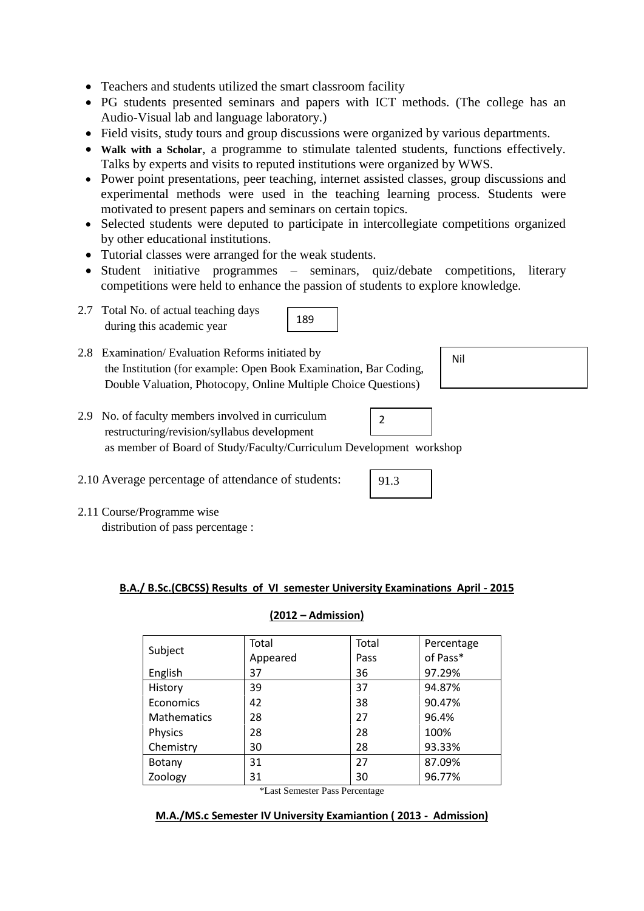- Teachers and students utilized the smart classroom facility
- PG students presented seminars and papers with ICT methods. (The college has an Audio-Visual lab and language laboratory.)
- Field visits, study tours and group discussions were organized by various departments.
- **Walk with a Scholar**, a programme to stimulate talented students, functions effectively. Talks by experts and visits to reputed institutions were organized by WWS.
- Power point presentations, peer teaching, internet assisted classes, group discussions and experimental methods were used in the teaching learning process. Students were motivated to present papers and seminars on certain topics.
- Selected students were deputed to participate in intercollegiate competitions organized by other educational institutions.
- Tutorial classes were arranged for the weak students.
- Student initiative programmes seminars, quiz/debate competitions, literary competitions were held to enhance the passion of students to explore knowledge.
- 2.7 Total No. of actual teaching days during this academic year



2.8 Examination/ Evaluation Reforms initiated by the Institution (for example: Open Book Examination, Bar Coding, Double Valuation, Photocopy, Online Multiple Choice Questions)

Nil

- 2.9 No. of faculty members involved in curriculum restructuring/revision/syllabus development as member of Board of Study/Faculty/Curriculum Development workshop 2
- 2.10 Average percentage of attendance of students:
- 2.11 Course/Programme wise
	- distribution of pass percentage :

#### **B.A./ B.Sc.(CBCSS) Results of VI semester University Examinations April - 2015**

91.3

#### **(2012 – Admission)**

|                    | Total    | Total | Percentage |
|--------------------|----------|-------|------------|
| Subject            | Appeared | Pass  | of Pass*   |
| English            | 37       | 36    | 97.29%     |
| History            | 39       | 37    | 94.87%     |
| Economics          | 42       | 38    | 90.47%     |
| <b>Mathematics</b> | 28       | 27    | 96.4%      |
| Physics            | 28       | 28    | 100%       |
| Chemistry          | 30       | 28    | 93.33%     |
| <b>Botany</b>      | 31       | 27    | 87.09%     |
| Zoology            | 31       | 30    | 96.77%     |

\*Last Semester Pass Percentage

#### **M.A./MS.c Semester IV University Examiantion ( 2013 - Admission)**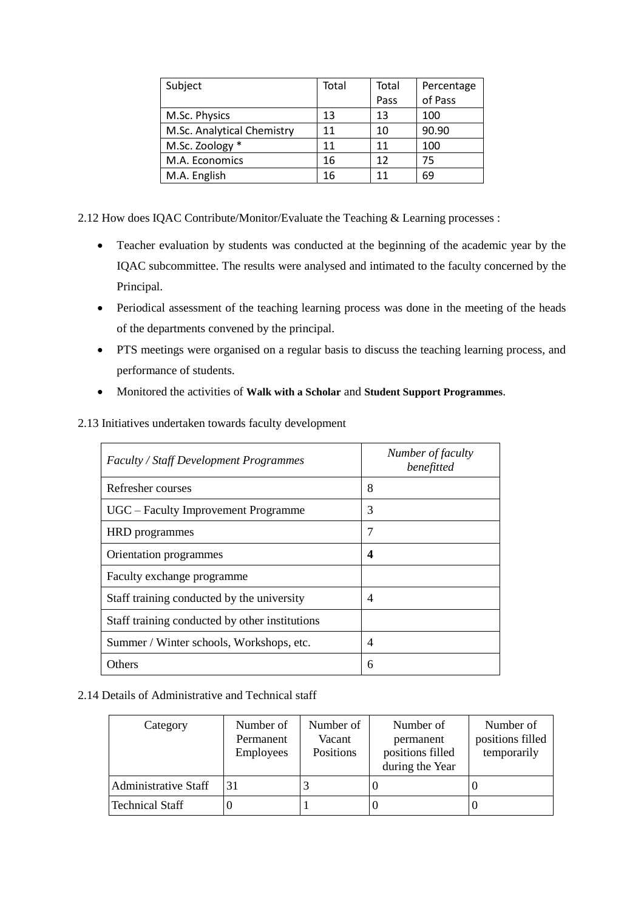| Subject                    | Total | Total | Percentage |
|----------------------------|-------|-------|------------|
|                            |       | Pass  | of Pass    |
| M.Sc. Physics              | 13    | 13    | 100        |
| M.Sc. Analytical Chemistry | 11    | 10    | 90.90      |
| M.Sc. Zoology *            | 11    | 11    | 100        |
| M.A. Economics             | 16    | 12    | 75         |
| M.A. English               | 16    | 11    | 69         |

2.12 How does IQAC Contribute/Monitor/Evaluate the Teaching & Learning processes :

- Teacher evaluation by students was conducted at the beginning of the academic year by the IQAC subcommittee. The results were analysed and intimated to the faculty concerned by the Principal.
- Periodical assessment of the teaching learning process was done in the meeting of the heads of the departments convened by the principal.
- PTS meetings were organised on a regular basis to discuss the teaching learning process, and performance of students.
- Monitored the activities of **Walk with a Scholar** and **Student Support Programmes**.

2.13 Initiatives undertaken towards faculty development

| <b>Faculty / Staff Development Programmes</b>  | Number of faculty<br>benefitted |
|------------------------------------------------|---------------------------------|
| Refresher courses                              | 8                               |
| UGC – Faculty Improvement Programme            | 3                               |
| <b>HRD</b> programmes                          | 7                               |
| Orientation programmes                         | 4                               |
| Faculty exchange programme                     |                                 |
| Staff training conducted by the university     | 4                               |
| Staff training conducted by other institutions |                                 |
| Summer / Winter schools, Workshops, etc.       | 4                               |
| Others                                         | 6                               |

## 2.14 Details of Administrative and Technical staff

| Category                    | Number of<br>Permanent<br>Employees | Number of<br>Vacant<br>Positions | Number of<br>permanent<br>positions filled<br>during the Year | Number of<br>positions filled<br>temporarily |
|-----------------------------|-------------------------------------|----------------------------------|---------------------------------------------------------------|----------------------------------------------|
| <b>Administrative Staff</b> | 31                                  |                                  |                                                               |                                              |
| Technical Staff             |                                     |                                  |                                                               |                                              |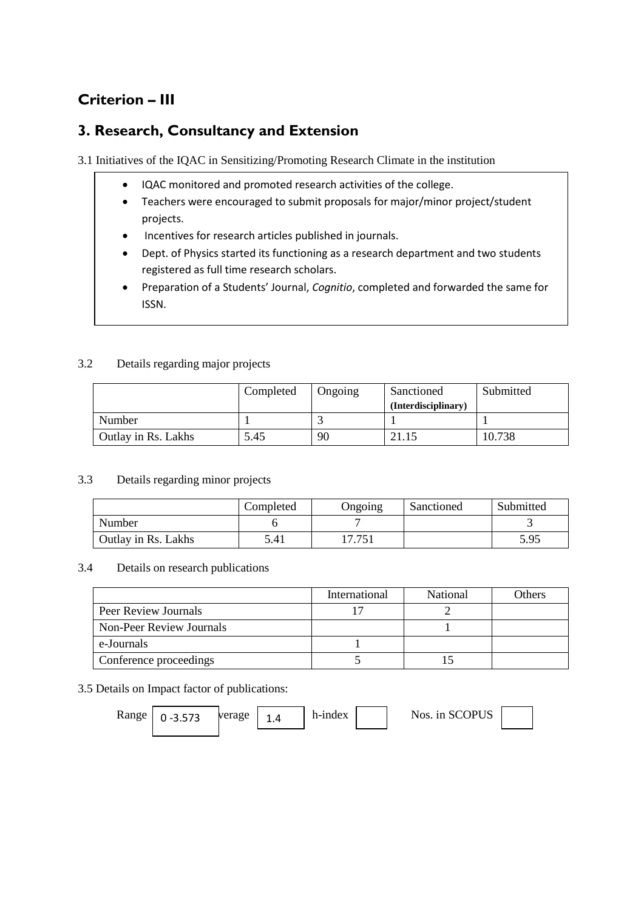# **Criterion – III**

# **3. Research, Consultancy and Extension**

3.1 Initiatives of the IQAC in Sensitizing/Promoting Research Climate in the institution

- IQAC monitored and promoted research activities of the college.
- Teachers were encouraged to submit proposals for major/minor project/student projects.
- Incentives for research articles published in journals.
- Dept. of Physics started its functioning as a research department and two students registered as full time research scholars.
- Preparation of a Students' Journal, *Cognitio*, completed and forwarded the same for ISSN.

### 3.2 Details regarding major projects

|                     | Completed | Ongoing | Sanctioned<br>(Interdisciplinary) | Submitted |
|---------------------|-----------|---------|-----------------------------------|-----------|
| Number              |           |         |                                   |           |
| Outlay in Rs. Lakhs | 5.45      | 90      | 21.15                             | 10.738    |

### 3.3 Details regarding minor projects

|                     | Completed | Ongoing | Sanctioned | Submitted |
|---------------------|-----------|---------|------------|-----------|
| Number              |           |         |            |           |
| Outlay in Rs. Lakhs | 5.41      | 7.75    |            | 5.95      |

### 3.4 Details on research publications

|                          | International | National | Others |
|--------------------------|---------------|----------|--------|
| Peer Review Journals     |               |          |        |
| Non-Peer Review Journals |               |          |        |
| e-Journals               |               |          |        |
| Conference proceedings   |               |          |        |

### 3.5 Details on Impact factor of publications:

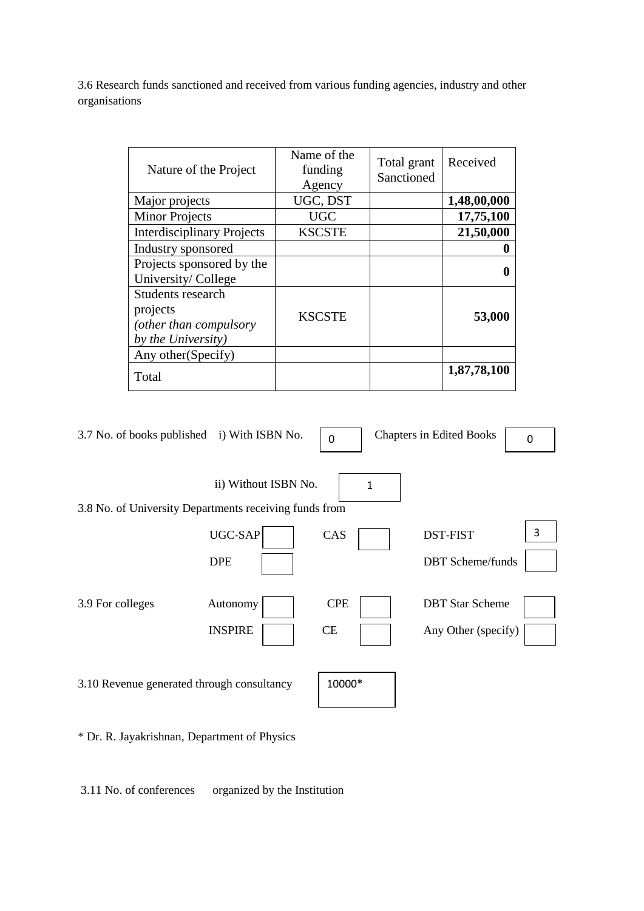3.6 Research funds sanctioned and received from various funding agencies, industry and other organisations

| Nature of the Project                                                         | Name of the<br>funding<br>Agency | Total grant<br>Sanctioned | Received    |
|-------------------------------------------------------------------------------|----------------------------------|---------------------------|-------------|
| Major projects                                                                | UGC, DST                         |                           | 1,48,00,000 |
| <b>Minor Projects</b>                                                         | <b>UGC</b>                       |                           | 17,75,100   |
| <b>Interdisciplinary Projects</b>                                             | <b>KSCSTE</b>                    |                           | 21,50,000   |
| Industry sponsored                                                            |                                  |                           |             |
| Projects sponsored by the<br>University/College                               |                                  |                           | 0           |
| Students research<br>projects<br>(other than compulsory<br>by the University) | <b>KSCSTE</b>                    |                           | 53,000      |
| Any other(Specify)<br>Total                                                   |                                  |                           | 1,87,78,100 |

 $\overline{\phantom{0}}$ 

L,

| 3.7 No. of books published i) With ISBN No.            |                            | 0                |   | <b>Chapters in Edited Books</b>               | 0 |
|--------------------------------------------------------|----------------------------|------------------|---|-----------------------------------------------|---|
| 3.8 No. of University Departments receiving funds from | ii) Without ISBN No.       |                  | 1 |                                               |   |
|                                                        | UGC-SAP                    | CAS              |   | <b>DST-FIST</b>                               | 3 |
|                                                        | <b>DPE</b>                 |                  |   | <b>DBT</b> Scheme/funds                       |   |
| 3.9 For colleges                                       | Autonomy<br><b>INSPIRE</b> | <b>CPE</b><br>CE |   | <b>DBT</b> Star Scheme<br>Any Other (specify) |   |
| 3.10 Revenue generated through consultancy             |                            | 10000*           |   |                                               |   |

\* Dr. R. Jayakrishnan, Department of Physics

3.11 No. of conferences organized by the Institution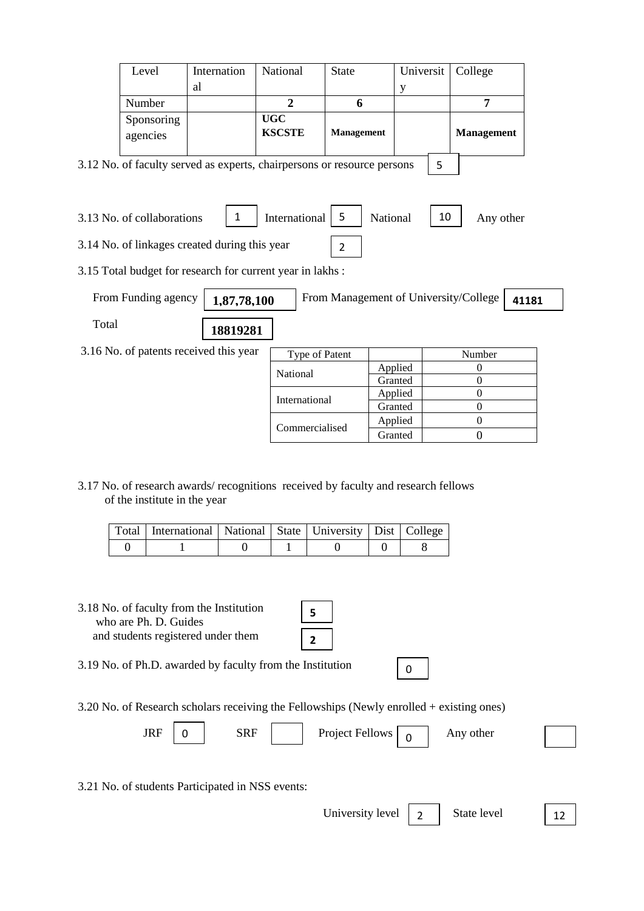|       | Level                      | Internation                                                             | National       | <b>State</b>   |                   | Universit |    | College                               |       |
|-------|----------------------------|-------------------------------------------------------------------------|----------------|----------------|-------------------|-----------|----|---------------------------------------|-------|
|       |                            | <sub>a</sub>                                                            |                |                |                   | y         |    |                                       |       |
|       | Number                     |                                                                         | $\overline{2}$ |                | 6                 |           |    | 7                                     |       |
|       | Sponsoring                 |                                                                         | <b>UGC</b>     |                |                   |           |    |                                       |       |
|       | agencies                   |                                                                         | <b>KSCSTE</b>  |                | <b>Management</b> |           |    | <b>Management</b>                     |       |
|       |                            |                                                                         |                |                |                   |           |    |                                       |       |
|       |                            | 3.12 No. of faculty served as experts, chairpersons or resource persons |                |                |                   |           | 5  |                                       |       |
|       |                            |                                                                         |                |                |                   |           |    |                                       |       |
|       |                            |                                                                         |                |                |                   |           |    |                                       |       |
|       |                            |                                                                         |                |                |                   |           |    |                                       |       |
|       | 3.13 No. of collaborations | $\mathbf{1}$                                                            | International  | 5              | National          |           | 10 | Any other                             |       |
|       |                            |                                                                         |                |                |                   |           |    |                                       |       |
|       |                            | 3.14 No. of linkages created during this year                           |                |                |                   |           |    |                                       |       |
|       |                            |                                                                         |                | $\overline{2}$ |                   |           |    |                                       |       |
|       |                            | 3.15 Total budget for research for current year in lakhs:               |                |                |                   |           |    |                                       |       |
|       |                            |                                                                         |                |                |                   |           |    |                                       |       |
|       | From Funding agency        |                                                                         |                |                |                   |           |    | From Management of University/College |       |
|       |                            | 1,87,78,100                                                             |                |                |                   |           |    |                                       | 41181 |
| Total |                            |                                                                         |                |                |                   |           |    |                                       |       |
|       |                            | 18819281                                                                |                |                |                   |           |    |                                       |       |
|       |                            |                                                                         |                |                |                   |           |    |                                       |       |
|       |                            | 3.16 No. of patents received this year                                  |                | Type of Patent |                   |           |    | Number                                |       |
|       |                            |                                                                         | National       |                |                   | Applied   |    | $\theta$                              |       |
|       |                            |                                                                         |                |                |                   | Granted   |    | $\Omega$                              |       |
|       |                            |                                                                         |                | International  |                   | Applied   |    | $\overline{0}$                        |       |
|       |                            |                                                                         |                |                |                   | Granted   |    | $\theta$                              |       |
|       |                            |                                                                         |                |                |                   | Applied   |    | $\theta$                              |       |
|       |                            |                                                                         |                | Commercialised |                   | Granted   |    | $\Omega$                              |       |

3.17 No. of research awards/ recognitions received by faculty and research fellows of the institute in the year

| Total   International   National   State   University   Dist   College |  |  |  |
|------------------------------------------------------------------------|--|--|--|
|                                                                        |  |  |  |

3.18 No. of faculty from the Institution who are Ph. D. Guides and students registered under them

3.19 No. of Ph.D. awarded by faculty from the Institution

3.20 No. of Research scholars receiving the Fellowships (Newly enrolled + existing ones)

| <b>JRF</b> |  | <b>SRF</b> |  | Fellows<br>Project | other<br>Any |  |
|------------|--|------------|--|--------------------|--------------|--|
|------------|--|------------|--|--------------------|--------------|--|

3.21 No. of students Participated in NSS events:

University level  $\begin{vmatrix} 2 \end{vmatrix}$ 

Granted

0

2 12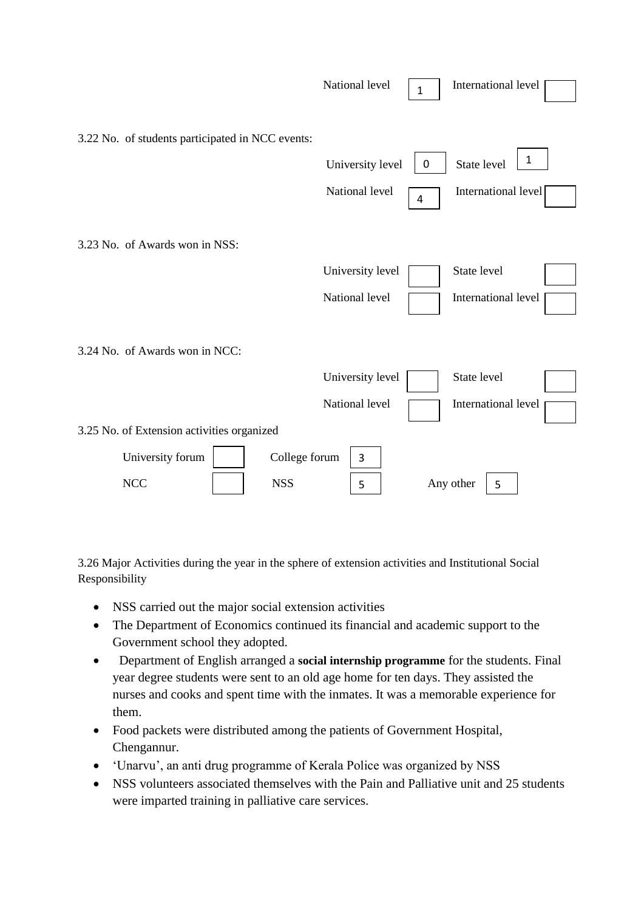|                                                  | National level   | $\mathbf{1}$            | International level         |
|--------------------------------------------------|------------------|-------------------------|-----------------------------|
| 3.22 No. of students participated in NCC events: | University level | 0                       | $\mathbf{1}$<br>State level |
|                                                  | National level   | $\overline{\mathbf{4}}$ | International level         |
| 3.23 No. of Awards won in NSS:                   |                  |                         |                             |
|                                                  | University level |                         | State level                 |
|                                                  | National level   |                         | International level         |
| 3.24 No. of Awards won in NCC:                   |                  |                         |                             |
|                                                  | University level |                         | State level                 |
|                                                  | National level   |                         | <b>International level</b>  |
| 3.25 No. of Extension activities organized       |                  |                         |                             |
| University forum<br>College forum                | 3                |                         |                             |
| <b>NCC</b><br><b>NSS</b>                         | 5                |                         | Any other<br>5              |

3.26 Major Activities during the year in the sphere of extension activities and Institutional Social Responsibility

- NSS carried out the major social extension activities
- The Department of Economics continued its financial and academic support to the Government school they adopted.
- Department of English arranged a **social internship programme** for the students. Final year degree students were sent to an old age home for ten days. They assisted the nurses and cooks and spent time with the inmates. It was a memorable experience for them.
- Food packets were distributed among the patients of Government Hospital, Chengannur.
- 'Unarvu', an anti drug programme of Kerala Police was organized by NSS
- NSS volunteers associated themselves with the Pain and Palliative unit and 25 students were imparted training in palliative care services.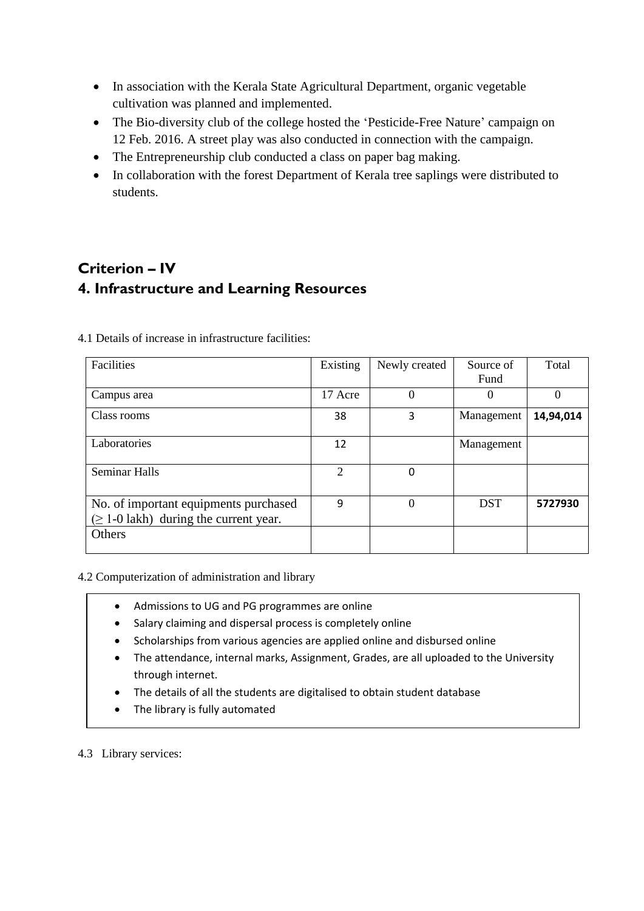- In association with the Kerala State Agricultural Department, organic vegetable cultivation was planned and implemented.
- The Bio-diversity club of the college hosted the 'Pesticide-Free Nature' campaign on 12 Feb. 2016. A street play was also conducted in connection with the campaign.
- The Entrepreneurship club conducted a class on paper bag making.
- In collaboration with the forest Department of Kerala tree saplings were distributed to students.

# **Criterion – IV 4. Infrastructure and Learning Resources**

| Facilities                                                                           | Existing | Newly created | Source of  | Total     |
|--------------------------------------------------------------------------------------|----------|---------------|------------|-----------|
|                                                                                      |          |               | Fund       |           |
| Campus area                                                                          | 17 Acre  | $\theta$      | $\Omega$   | 0         |
| Class rooms                                                                          | 38       | 3             | Management | 14,94,014 |
| Laboratories                                                                         | 12       |               | Management |           |
| <b>Seminar Halls</b>                                                                 | 2        | 0             |            |           |
| No. of important equipments purchased<br>$(\geq 1$ -0 lakh) during the current year. | 9        | $\theta$      | <b>DST</b> | 5727930   |
| Others                                                                               |          |               |            |           |

4.1 Details of increase in infrastructure facilities:

4.2 Computerization of administration and library

- Admissions to UG and PG programmes are online
- Salary claiming and dispersal process is completely online
- Scholarships from various agencies are applied online and disbursed online
- The attendance, internal marks, Assignment, Grades, are all uploaded to the University through internet.
- The details of all the students are digitalised to obtain student database
- The library is fully automated

4.3 Library services: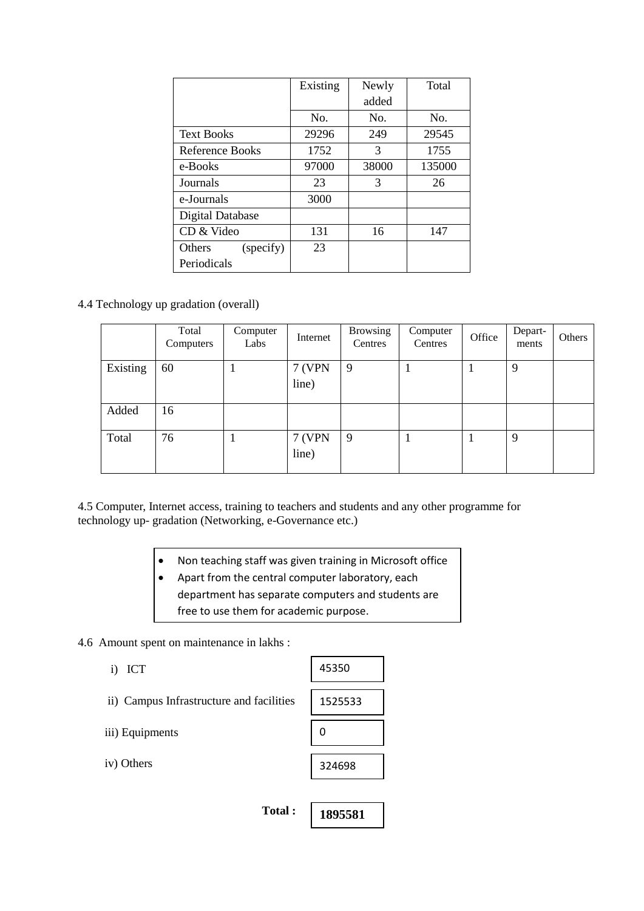|                     | Existing | Newly | Total  |
|---------------------|----------|-------|--------|
|                     |          | added |        |
|                     | No.      | No.   | No.    |
| <b>Text Books</b>   | 29296    | 249   | 29545  |
| Reference Books     | 1752     | 3     | 1755   |
| e-Books             | 97000    | 38000 | 135000 |
| Journals            | 23       | 3     | 26     |
| e-Journals          | 3000     |       |        |
| Digital Database    |          |       |        |
| CD & Video          | 131      | 16    | 147    |
| Others<br>(specify) | 23       |       |        |
| Periodicals         |          |       |        |

### 4.4 Technology up gradation (overall)

|          | Total<br>Computers | Computer<br>Labs | Internet               | <b>Browsing</b><br>Centres | Computer<br>Centres | Office | Depart-<br>ments | Others |
|----------|--------------------|------------------|------------------------|----------------------------|---------------------|--------|------------------|--------|
| Existing | 60                 |                  | 7 (VPN<br>line)        | 9                          |                     |        | 9                |        |
| Added    | 16                 |                  |                        |                            |                     |        |                  |        |
| Total    | 76                 |                  | <b>7 (VPN</b><br>line) | 9                          |                     |        | 9                |        |

4.5 Computer, Internet access, training to teachers and students and any other programme for technology up- gradation (Networking, e-Governance etc.)

- Non teaching staff was given training in Microsoft office
- Apart from the central computer laboratory, each department has separate computers and students are free to use them for academic purpose.

### 4.6 Amount spent on maintenance in lakhs :

- i) ICT
- ii) Campus Infrastructure and facilities
- iii) Equipments
- iv) Others



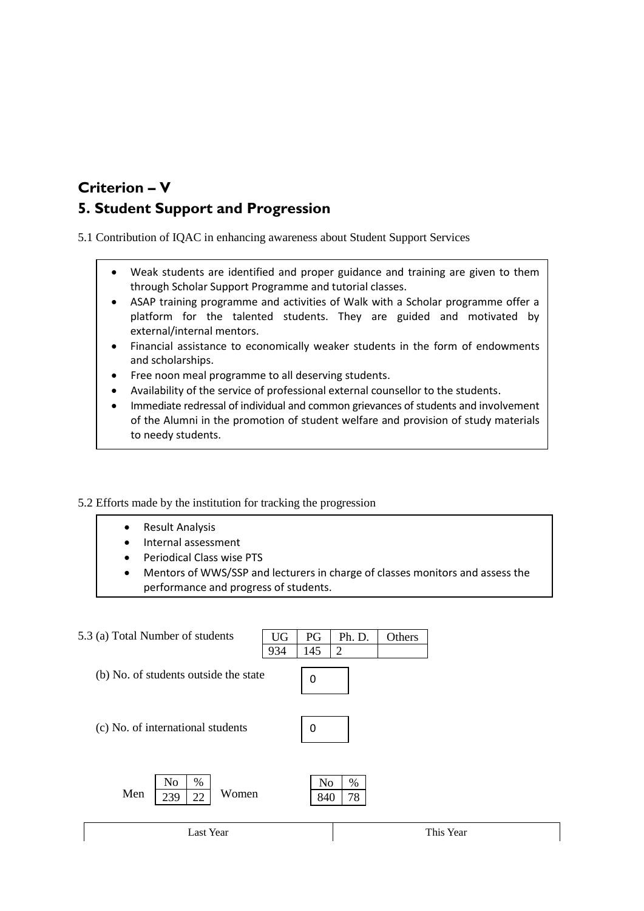# **Criterion – V 5. Student Support and Progression**

5.1 Contribution of IQAC in enhancing awareness about Student Support Services

- Weak students are identified and proper guidance and training are given to them through Scholar Support Programme and tutorial classes.
- ASAP training programme and activities of Walk with a Scholar programme offer a platform for the talented students. They are guided and motivated by external/internal mentors.
- Financial assistance to economically weaker students in the form of endowments and scholarships.
- Free noon meal programme to all deserving students.
- Availability of the service of professional external counsellor to the students.
- Immediate redressal of individual and common grievances of students and involvement of the Alumni in the promotion of student welfare and provision of study materials to needy students.

#### 5.2 Efforts made by the institution for tracking the progression

- Result Analysis
- Internal assessment
- Periodical Class wise PTS
- Mentors of WWS/SSP and lecturers in charge of classes monitors and assess the performance and progress of students.

| 5.3 (a) Total Number of students      | UG  | <b>PG</b>             | Ph. D.  | Others |           |
|---------------------------------------|-----|-----------------------|---------|--------|-----------|
|                                       | 934 | 145                   | 2       |        |           |
| (b) No. of students outside the state |     | 0                     |         |        |           |
| (c) No. of international students     |     | 0                     |         |        |           |
| No<br>%<br>Men<br>Women<br>239<br>22  |     | N <sub>0</sub><br>840 | %<br>78 |        |           |
| Last Year                             |     |                       |         |        | This Year |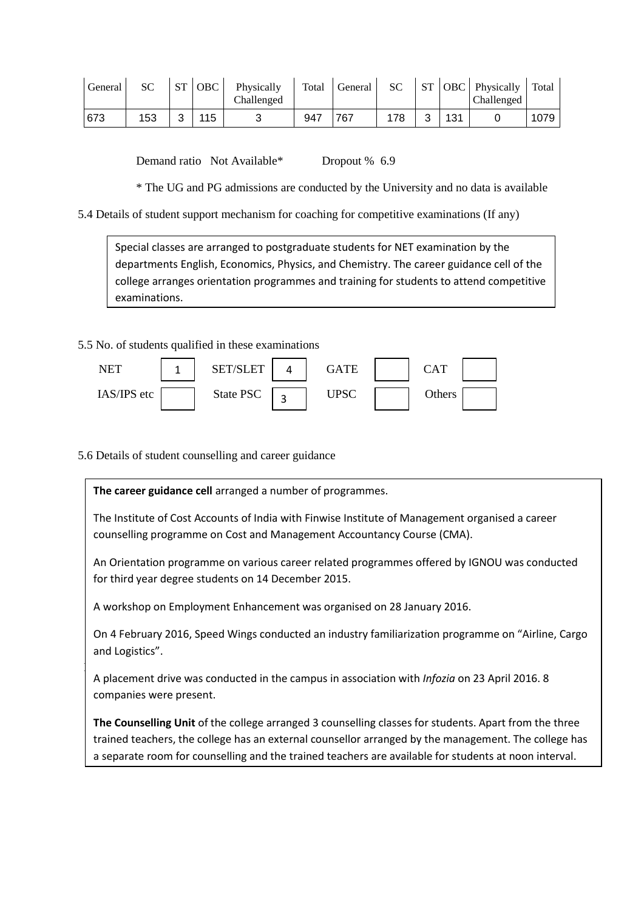| General | SС  | $C^{\mathsf{T}}$ | <b>OBC</b> | Physically<br>Challenged | Total | General | SC | ST | <b>OBC</b> | Physically<br>Challenged | Total |
|---------|-----|------------------|------------|--------------------------|-------|---------|----|----|------------|--------------------------|-------|
| '673    | 153 | ⌒                | 115        |                          | 947   | 767     | 78 | ⌒  | 131        |                          | 1079  |

Demand ratio Not Available\* Dropout % 6.9

\* The UG and PG admissions are conducted by the University and no data is available

5.4 Details of student support mechanism for coaching for competitive examinations (If any)

Special classes are arranged to postgraduate students for NET examination by the departments English, Economics, Physics, and Chemistry. The career guidance cell of the college arranges orientation programmes and training for students to attend competitive examinations.

### 5.5 No. of students qualified in these examinations



### 5.6 Details of student counselling and career guidance

**The career guidance cell** arranged a number of programmes.

The Institute of Cost Accounts of India with Finwise Institute of Management organised a career counselling programme on Cost and Management Accountancy Course (CMA).

An Orientation programme on various career related programmes offered by IGNOU was conducted for third year degree students on 14 December 2015.

A workshop on Employment Enhancement was organised on 28 January 2016.

On 4 February 2016, Speed Wings conducted an industry familiarization programme on "Airline, Cargo and Logistics".

 $\frac{1}{2}$ A placement drive was conducted in the campus in association with *Infozia* on 23 April 2016. 8 companies were present.

**The Counselling Unit** of the college arranged 3 counselling classes for students. Apart from the three trained teachers, the college has an external counsellor arranged by the management. The college has a separate room for counselling and the trained teachers are available for students at noon interval.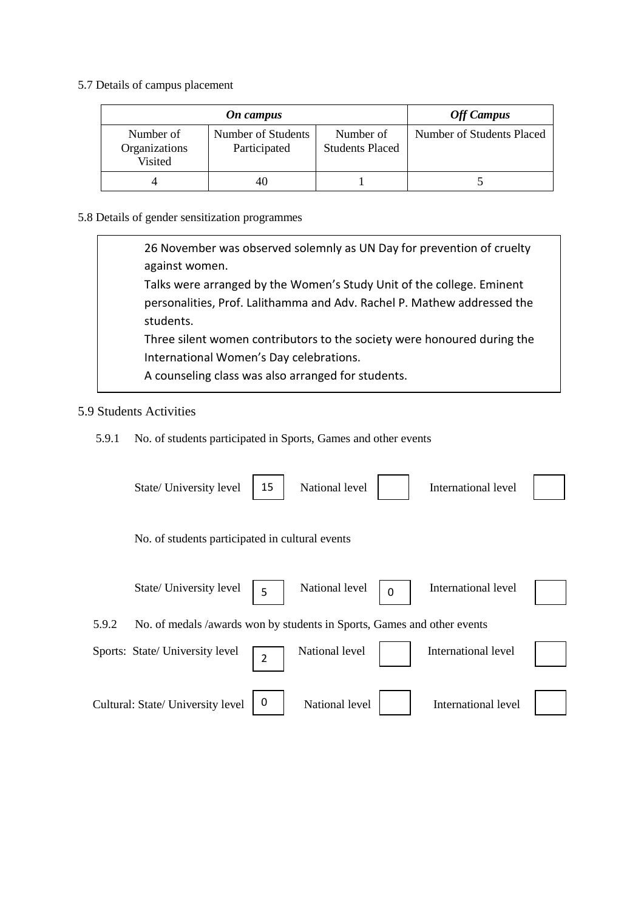5.7 Details of campus placement

|                                       | <b>Off Campus</b>                  |                                     |                           |
|---------------------------------------|------------------------------------|-------------------------------------|---------------------------|
| Number of<br>Organizations<br>Visited | Number of Students<br>Participated | Number of<br><b>Students Placed</b> | Number of Students Placed |
|                                       | 40                                 |                                     |                           |

5.8 Details of gender sensitization programmes

26 November was observed solemnly as UN Day for prevention of cruelty against women. Talks were arranged by the Women's Study Unit of the college. Eminent personalities, Prof. Lalithamma and Adv. Rachel P. Mathew addressed the students. Three silent women contributors to the society were honoured during the International Women's Day celebrations. A counseling class was also arranged for students.

- 5.9 Students Activities
	- 5.9.1 No. of students participated in Sports, Games and other events

|       | State/ University level                                                 | 15             | National level |             | International level |  |
|-------|-------------------------------------------------------------------------|----------------|----------------|-------------|---------------------|--|
|       | No. of students participated in cultural events                         |                |                |             |                     |  |
|       | State/ University level                                                 | 5              | National level | $\mathbf 0$ | International level |  |
| 5.9.2 | No. of medals /awards won by students in Sports, Games and other events |                |                |             |                     |  |
|       | Sports: State/ University level                                         | $\overline{2}$ | National level |             | International level |  |
|       | Cultural: State/ University level                                       | 0              | National level |             | International level |  |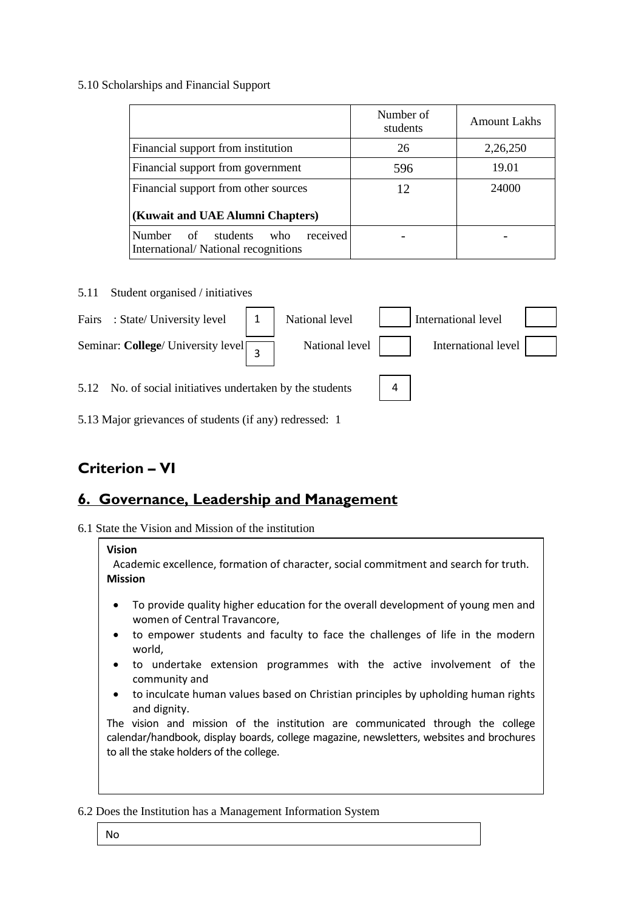### 5.10 Scholarships and Financial Support

|                                                                                           | Number of<br>students | <b>Amount Lakhs</b> |
|-------------------------------------------------------------------------------------------|-----------------------|---------------------|
| Financial support from institution                                                        | 26                    | 2,26,250            |
| Financial support from government                                                         | 596                   | 19.01               |
| Financial support from other sources                                                      | 12                    | 24000               |
| (Kuwait and UAE Alumni Chapters)                                                          |                       |                     |
| received<br><b>Number</b><br>of<br>students<br>who<br>International/National recognitions |                       |                     |

### 5.11 Student organised / initiatives

| Fairs : State/ University level   1                       | National level | International level |  |
|-----------------------------------------------------------|----------------|---------------------|--|
| Seminar: College/ University level $\sqrt{3}$             | National level | International level |  |
| 5.12 No. of social initiatives undertaken by the students |                |                     |  |

5.13 Major grievances of students (if any) redressed: 1

# **Criterion – VI**

# **6. Governance, Leadership and Management**

6.1 State the Vision and Mission of the institution

#### **Vision**

Academic excellence, formation of character, social commitment and search for truth. **Mission**

- To provide quality higher education for the overall development of young men and women of Central Travancore,
- to empower students and faculty to face the challenges of life in the modern world,
- to undertake extension programmes with the active involvement of the community and
- to inculcate human values based on Christian principles by upholding human rights and dignity.

The vision and mission of the institution are communicated through the college calendar/handbook, display boards, college magazine, newsletters, websites and brochures to all the stake holders of the college.

6.2 Does the Institution has a Management Information System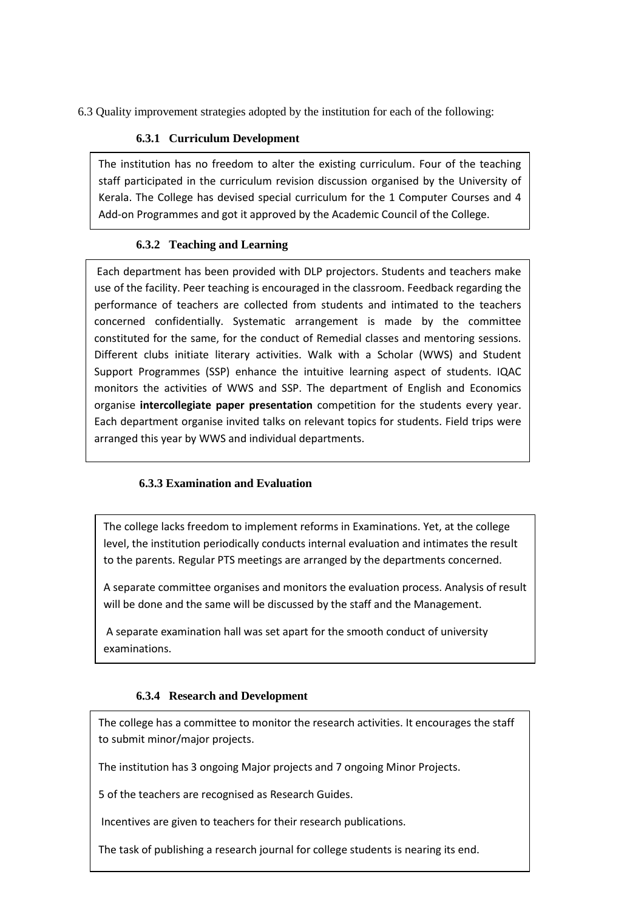6.3 Quality improvement strategies adopted by the institution for each of the following:

### **6.3.1 Curriculum Development**

The institution has no freedom to alter the existing curriculum. Four of the teaching staff participated in the curriculum revision discussion organised by the University of Kerala. The College has devised special curriculum for the 1 Computer Courses and 4 Add-on Programmes and got it approved by the Academic Council of the College.

## **6.3.2 Teaching and Learning**

Each department has been provided with DLP projectors. Students and teachers make use of the facility. Peer teaching is encouraged in the classroom. Feedback regarding the performance of teachers are collected from students and intimated to the teachers concerned confidentially. Systematic arrangement is made by the committee constituted for the same, for the conduct of Remedial classes and mentoring sessions. Different clubs initiate literary activities. Walk with a Scholar (WWS) and Student Support Programmes (SSP) enhance the intuitive learning aspect of students. IQAC monitors the activities of WWS and SSP. The department of English and Economics organise **intercollegiate paper presentation** competition for the students every year. Each department organise invited talks on relevant topics for students. Field trips were arranged this year by WWS and individual departments.

## **6.3.3 Examination and Evaluation**

**6.3.3 Examination and Evaluation**

The college lacks freedom to implement reforms in Examinations. Yet, at the college level, the institution periodically conducts internal evaluation and intimates the result to the parents. Regular PTS meetings are arranged by the departments concerned.

A separate committee organises and monitors the evaluation process. Analysis of result will be done and the same will be discussed by the staff and the Management.

A separate examination hall was set apart for the smooth conduct of university examinations.

## **6.3.4 Research and Development**

The college has a committee to monitor the research activities. It encourages the staff to submit minor/major projects.

The institution has 3 ongoing Major projects and 7 ongoing Minor Projects.

5 of the teachers are recognised as Research Guides.

Incentives are given to teachers for their research publications.

The task of publishing a research journal for college students is nearing its end.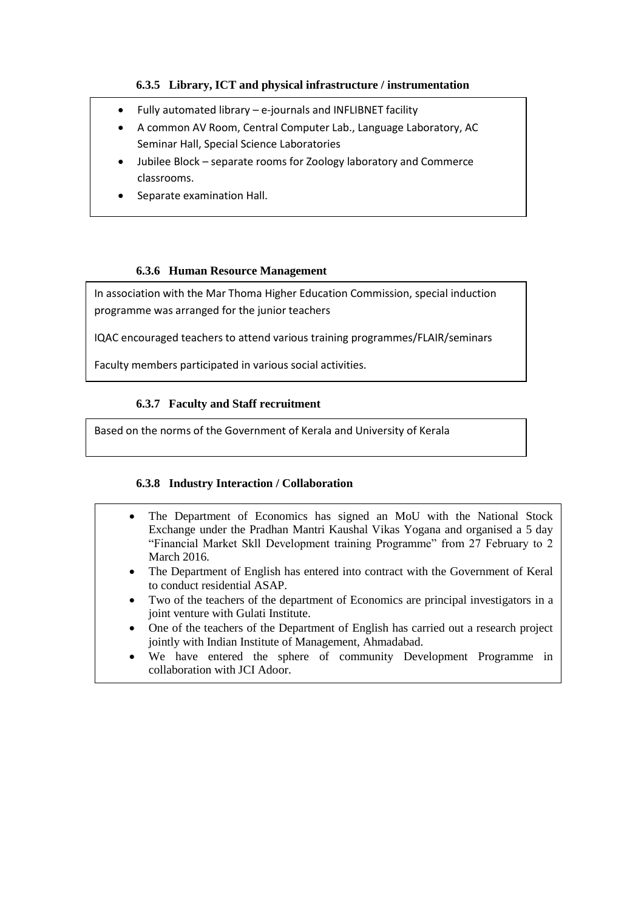### **6.3.5 Library, ICT and physical infrastructure / instrumentation**

- Fully automated library e-journals and INFLIBNET facility
- A common AV Room, Central Computer Lab., Language Laboratory, AC Seminar Hall, Special Science Laboratories
- Jubilee Block separate rooms for Zoology laboratory and Commerce classrooms.
- Separate examination Hall.

### **6.3.6 Human Resource Management**

In association with the Mar Thoma Higher Education Commission, special induction programme was arranged for the junior teachers

IQAC encouraged teachers to attend various training programmes/FLAIR/seminars

Faculty members participated in various social activities.

### **6.3.7 Faculty and Staff recruitment**

Based on the norms of the Government of Kerala and University of Kerala

### **6.3.8 Industry Interaction / Collaboration**

•

- The Department of Economics has signed an MoU with the National Stock Exchange under the Pradhan Mantri Kaushal Vikas Yogana and organised a 5 day "Financial Market Skll Development training Programme" from 27 February to 2 March 2016.
- The Department of English has entered into contract with the Government of Keral to conduct residential ASAP.
- Two of the teachers of the department of Economics are principal investigators in a joint venture with Gulati Institute.
- One of the teachers of the Department of English has carried out a research project jointly with Indian Institute of Management, Ahmadabad.
- We have entered the sphere of community Development Programme in collaboration with JCI Adoor.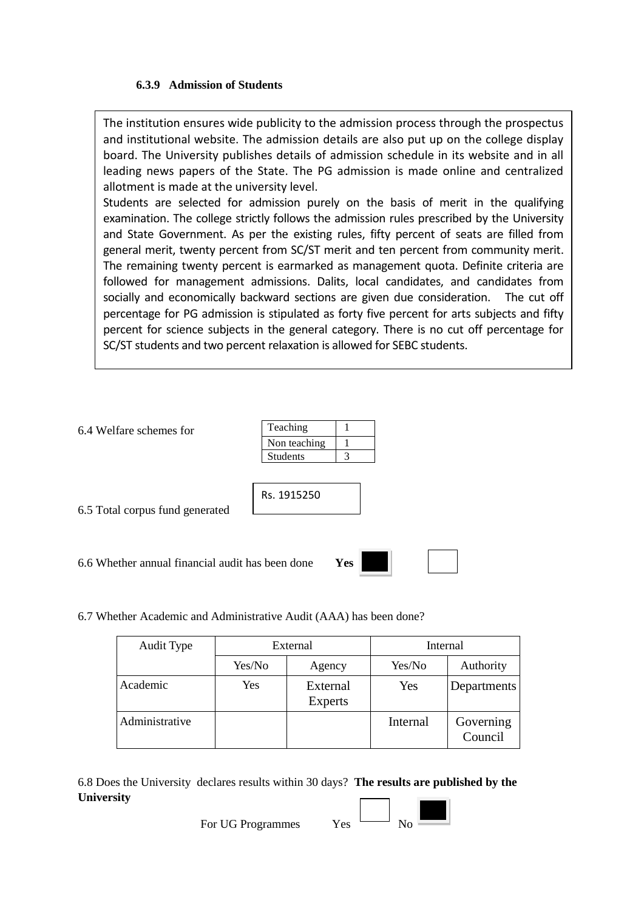### **6.3.9 Admission of Students**

The institution ensures wide publicity to the admission process through the prospectus and institutional website. The admission details are also put up on the college display board. The University publishes details of admission schedule in its website and in all leading news papers of the State. The PG admission is made online and centralized allotment is made at the university level.

Students are selected for admission purely on the basis of merit in the qualifying examination. The college strictly follows the admission rules prescribed by the University and State Government. As per the existing rules, fifty percent of seats are filled from general merit, twenty percent from SC/ST merit and ten percent from community merit. The remaining twenty percent is earmarked as management quota. Definite criteria are followed for management admissions. Dalits, local candidates, and candidates from socially and economically backward sections are given due consideration. The cut off percentage for PG admission is stipulated as forty five percent for arts subjects and fifty percent for science subjects in the general category. There is no cut off percentage for SC/ST students and two percent relaxation is allowed for SEBC students.

| 6.4 Welfare schemes for                          | Teaching     |     |  |  |
|--------------------------------------------------|--------------|-----|--|--|
|                                                  | Non teaching |     |  |  |
|                                                  | Students     | 3   |  |  |
|                                                  |              |     |  |  |
| 6.5 Total corpus fund generated                  | Rs. 1915250  |     |  |  |
|                                                  |              |     |  |  |
|                                                  |              |     |  |  |
| 6.6 Whether annual financial audit has been done |              | Yes |  |  |

6.7 Whether Academic and Administrative Audit (AAA) has been done?

| Audit Type     | External |                            | <b>Internal</b> |                      |  |
|----------------|----------|----------------------------|-----------------|----------------------|--|
|                | Yes/No   | Agency                     | Yes/No          | Authority            |  |
| Academic       | Yes      | External<br><b>Experts</b> | Yes             | Departments          |  |
| Administrative |          |                            | Internal        | Governing<br>Council |  |

6.8 Does the University declares results within 30 days? **The results are published by the University**

For UG Programmes  $Y_{\text{es}}$  No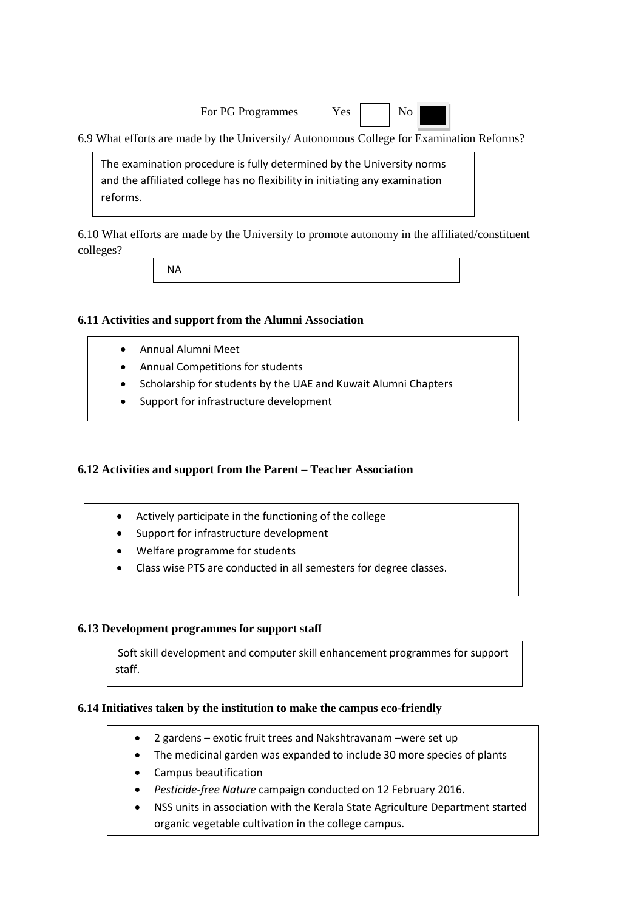For PG Programmes Yes No



6.9 What efforts are made by the University/ Autonomous College for Examination Reforms?

The examination procedure is fully determined by the University norms and the affiliated college has no flexibility in initiating any examination reforms.

6.10 What efforts are made by the University to promote autonomy in the affiliated/constituent colleges?

NA

### **6.11 Activities and support from the Alumni Association**

- Annual Alumni Meet
- Annual Competitions for students
- Scholarship for students by the UAE and Kuwait Alumni Chapters
- Support for infrastructure development

### **6.12 Activities and support from the Parent – Teacher Association**

- Actively participate in the functioning of the college
- Support for infrastructure development
- Welfare programme for students
- Class wise PTS are conducted in all semesters for degree classes.

#### **6.13 Development programmes for support staff**

Soft skill development and computer skill enhancement programmes for support staff.

#### **6.14 Initiatives taken by the institution to make the campus eco-friendly**

- 2 gardens exotic fruit trees and Nakshtravanam –were set up
- The medicinal garden was expanded to include 30 more species of plants
- Campus beautification
- *Pesticide-free Nature* campaign conducted on 12 February 2016.
- NSS units in association with the Kerala State Agriculture Department started organic vegetable cultivation in the college campus.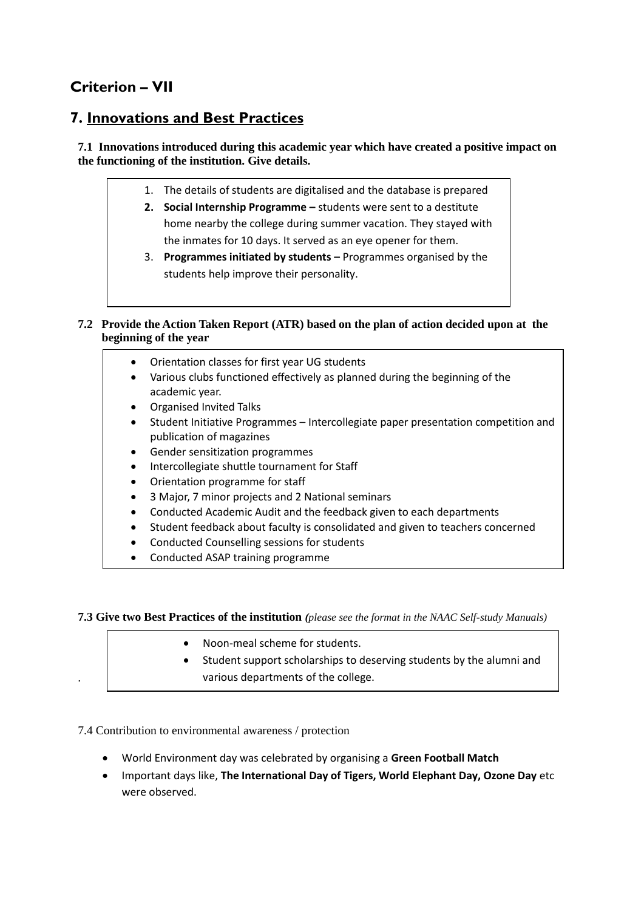# **Criterion – VII**

# **7. Innovations and Best Practices**

**7.1 Innovations introduced during this academic year which have created a positive impact on the functioning of the institution. Give details.**

- 1. The details of students are digitalised and the database is prepared
- **2. Social Internship Programme –** students were sent to a destitute home nearby the college during summer vacation. They stayed with the inmates for 10 days. It served as an eye opener for them.
- 3. **Programmes initiated by students –** Programmes organised by the students help improve their personality.

### **7.2 Provide the Action Taken Report (ATR) based on the plan of action decided upon at the beginning of the year**

- Orientation classes for first year UG students • Various clubs functioned effectively as planned during the beginning of the academic year. • Organised Invited Talks • Student Initiative Programmes – Intercollegiate paper presentation competition and publication of magazines • Gender sensitization programmes • Intercollegiate shuttle tournament for Staff • Orientation programme for staff
	- 3 Major, 7 minor projects and 2 National seminars
	- Conducted Academic Audit and the feedback given to each departments
- Student feedback about faculty is consolidated and given to teachers concerned
- Conducted Counselling sessions for students
- Conducted ASAP training programme

### **7.3 Give two Best Practices of the institution** *(please see the format in the NAAC Self-study Manuals)*

- Noon-meal scheme for students.
- Student support scholarships to deserving students by the alumni and various departments of the college.

7.4 Contribution to environmental awareness / protection

.

- World Environment day was celebrated by organising a **Green Football Match**
- Important days like, **The International Day of Tigers, World Elephant Day, Ozone Day** etc were observed.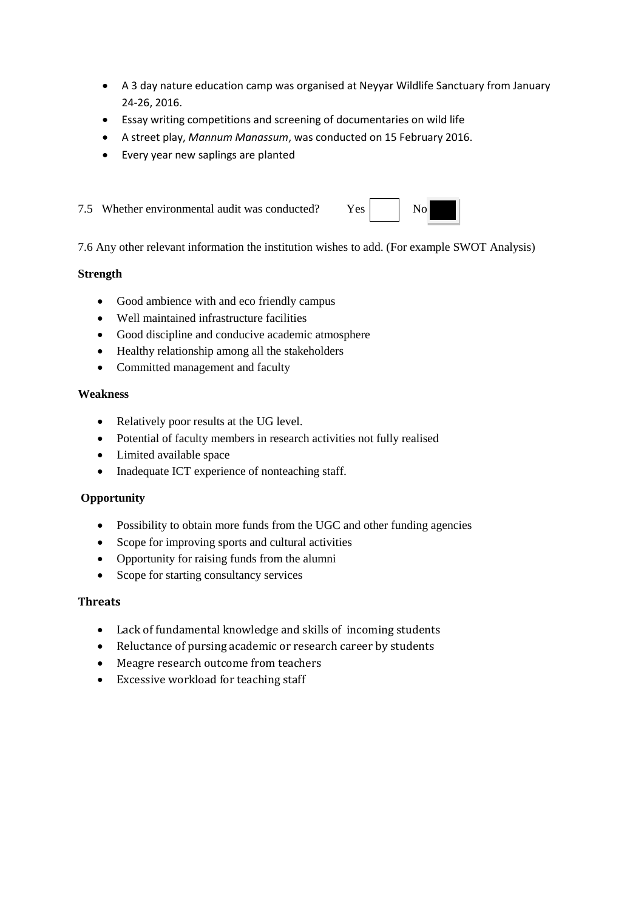- A 3 day nature education camp was organised at Neyyar Wildlife Sanctuary from January 24-26, 2016.
- Essay writing competitions and screening of documentaries on wild life
- A street play, *Mannum Manassum*, was conducted on 15 February 2016.
- Every year new saplings are planted
- 7.5 Whether environmental audit was conducted? Yes No



7.6 Any other relevant information the institution wishes to add. (For example SWOT Analysis)

### **Strength**

- Good ambience with and eco friendly campus
- Well maintained infrastructure facilities
- Good discipline and conducive academic atmosphere
- Healthy relationship among all the stakeholders
- Committed management and faculty

### **Weakness**

- Relatively poor results at the UG level.
- Potential of faculty members in research activities not fully realised
- Limited available space
- Inadequate ICT experience of nonteaching staff.

#### **Opportunity**

- Possibility to obtain more funds from the UGC and other funding agencies
- Scope for improving sports and cultural activities
- Opportunity for raising funds from the alumni
- Scope for starting consultancy services

#### **Threats**

- Lack of fundamental knowledge and skills of incoming students
- Reluctance of pursing academic or research career by students
- Meagre research outcome from teachers
- Excessive workload for teaching staff